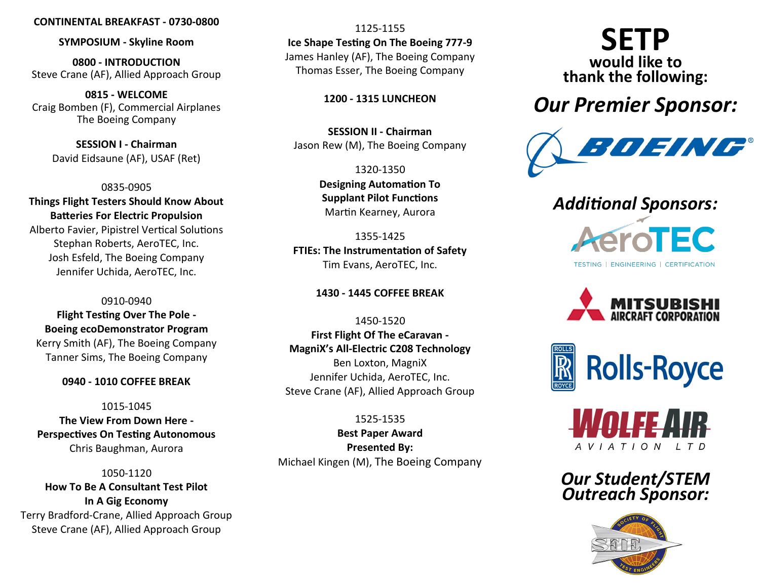### **CONTINENTAL BREAKFAST - 0730-0800**

**SYMPOSIUM - Skyline Room**

**0800 - INTRODUCTION** Steve Crane (AF), Allied Approach Group

**0815 - WELCOME** Craig Bomben (F), Commercial Airplanes The Boeing Company

> **SESSION I - Chairman** David Eidsaune (AF), USAF (Ret)

0835-0905 **Things Flight Testers Should Know About Batteries For Electric Propulsion**

Alberto Favier, Pipistrel Vertical Solutions Stephan Roberts, AeroTEC, Inc. Josh Esfeld, The Boeing Company Jennifer Uchida, AeroTEC, Inc.

0910-0940 **Flight Testing Over The Pole - Boeing ecoDemonstrator Program** Kerry Smith (AF), The Boeing Company Tanner Sims, The Boeing Company

### **0940 - 1010 COFFEE BREAK**

1015-1045 **The View From Down Here - Perspectives On Testing Autonomous** Chris Baughman, Aurora

1050-1120 **How To Be A Consultant Test Pilot In A Gig Economy** Terry Bradford-Crane, Allied Approach Group Steve Crane (AF), Allied Approach Group

1125-1155 **Ice Shape Testing On The Boeing 777-9** James Hanley (AF), The Boeing Company Thomas Esser, The Boeing Company

**1200 - 1315 LUNCHEON**

**SESSION II - Chairman** Jason Rew (M), The Boeing Company

> 1320-1350 **Designing Automation To Supplant Pilot Functions** Martin Kearney, Aurora

1355-1425 **FTIEs: The Instrumentation of Safety** Tim Evans, AeroTEC, Inc.

**1430 - 1445 COFFEE BREAK** 

1450-1520 **First Flight Of The eCaravan - MagniX's All-Electric C208 Technology** Ben Loxton, MagniX Jennifer Uchida, AeroTEC, Inc. Steve Crane (AF), Allied Approach Group

1525-1535 **Best Paper Award Presented By:**  Michael Kingen (M), The Boeing Company

# **SETP would like to thank the following:**

# *Our Premier Sponsor:*



## *Additional Sponsors:*









*Our Student/STEM Outreach Sponsor:*